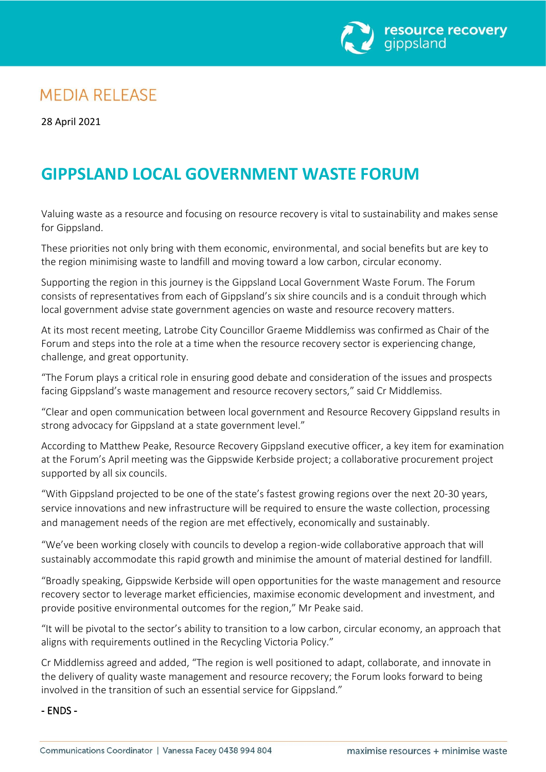

## **MEDIA RELEASE**

28 April 2021

# **GIPPSLAND LOCAL GOVERNMENT WASTE FORUM**

Valuing waste as a resource and focusing on resource recovery is vital to sustainability and makes sense for Gippsland.

These priorities not only bring with them economic, environmental, and social benefits but are key to the region minimising waste to landfill and moving toward a low carbon, circular economy.

Supporting the region in this journey is the Gippsland Local Government Waste Forum. The Forum consists of representatives from each of Gippsland's six shire councils and is a conduit through which local government advise state government agencies on waste and resource recovery matters.

At its most recent meeting, Latrobe City Councillor Graeme Middlemiss was confirmed as Chair of the Forum and steps into the role at a time when the resource recovery sector is experiencing change, challenge, and great opportunity.

"The Forum plays a critical role in ensuring good debate and consideration of the issues and prospects facing Gippsland's waste management and resource recovery sectors," said Cr Middlemiss.

"Clear and open communication between local government and Resource Recovery Gippsland results in strong advocacy for Gippsland at a state government level."

According to Matthew Peake, Resource Recovery Gippsland executive officer, a key item for examination at the Forum's April meeting was the Gippswide Kerbside project; a collaborative procurement project supported by all six councils.

"With Gippsland projected to be one of the state's fastest growing regions over the next 20-30 years, service innovations and new infrastructure will be required to ensure the waste collection, processing and management needs of the region are met effectively, economically and sustainably.

"We've been working closely with councils to develop a region-wide collaborative approach that will sustainably accommodate this rapid growth and minimise the amount of material destined for landfill.

"Broadly speaking, Gippswide Kerbside will open opportunities for the waste management and resource recovery sector to leverage market efficiencies, maximise economic development and investment, and provide positive environmental outcomes for the region," Mr Peake said.

"It will be pivotal to the sector's ability to transition to a low carbon, circular economy, an approach that aligns with requirements outlined in the Recycling Victoria Policy."

Cr Middlemiss agreed and added, "The region is well positioned to adapt, collaborate, and innovate in the delivery of quality waste management and resource recovery; the Forum looks forward to being involved in the transition of such an essential service for Gippsland."

#### - ENDS -